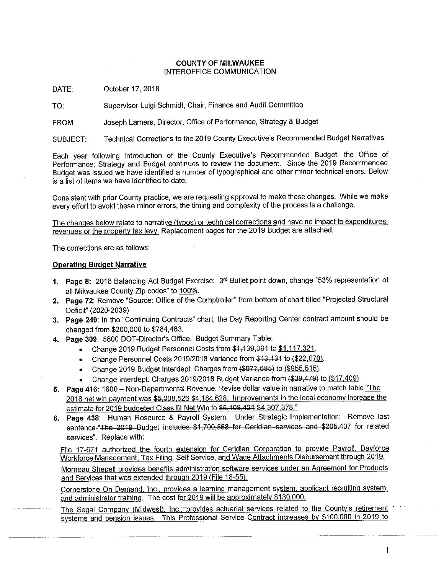#### **COUNTY OF MILWAUKEE** INTEROFFICE COMMUNICATION

DATE: October 17, 2018

Supervisor Luigi Schmidt, Chair, Finance and Audit Committee TO:

Joseph Lamers, Director, Office of Performance, Strategy & Budget **FROM** 

Technical Corrections to the 2019 County Executive's Recommended Budget Narratives SUBJECT:

Each year following introduction of the County Executive's Recommended Budget, the Office of Performance, Strategy and Budget continues to review the document. Since the 2019 Recommended Budget was issued we have identified a number of typographical and other minor technical errors. Below is a list of items we have identified to date.

Consistent with prior County practice, we are requesting approval to make these changes. While we make every effort to avoid these minor errors, the timing and complexity of the process is a challenge.

The changes below relate to narrative (typos) or technical corrections and have no impact to expenditures, revenues or the property tax levy. Replacement pages for the 2019 Budget are attached.

The corrections are as follows:

#### **Operating Budget Narrative**

- 1. Page 8: 2018 Balancing Act Budget Exercise: 3rd Bullet point down, change "53% representation of all Milwaukee County Zip codes" to 100%.
- 2. Page 72: Remove "Source: Office of the Comptroller" from bottom of chart titled "Projected Structural Deficit" (2020-2039)
- 3. Page 249: In the "Continuing Contracts" chart, the Day Reporting Center contract amount should be changed from \$200,000 to \$784,463.
- 4. Page 309: 5800 DOT-Director's Office. Budget Summary Table:
	- Change 2019 Budget Personnel Costs from \$4,439,394 to \$1,117,321.  $\bullet$
	- Change Personnel Costs 2019/2018 Variance from \$13,131 to (\$22,070).  $\bullet$
	- Change 2019 Budget Interdept. Charges from (\$977,585) to (\$955,515).
	- Change Interdept. Charges 2019/2018 Budget Variance from (\$39,479) to (\$17,409)
- 5. Page 416: 1800 Non-Departmental Revenue. Revise dollar value in narrative to match table "The 2018 net win payment was \$5,008,526 \$4,184,628. Improvements in the local economy increase the estimate for 2019 budgeted Class III Net Win to \$5,108,421 \$4,307,378."
- 6. Page 438: Human Resource & Payroll System. Under Strategic Implementation: Remove last sentence-"The 2019 Budget includes \$1,700,568 for Ceridian services and \$205,407 for related services". Replace with:

File 17-671 authorized the fourth extension for Ceridian Corporation to provide Payroll, Dayforce Workforce Management, Tax Filing, Self Service, and Wage Attachments Disbursement through 2019.

Morneau Shepell provides benefits administration software services under an Agreement for Products and Services that was extended through 2019 (File 18-55).

Cornerstone On Demand, Inc., provides a learning management system, applicant recruiting system, and administrator training. The cost for 2019 will be approximately \$130,000.

The Segal Company (Midwest), Inc., provides actuarial services related to the County's retirement systems and pension issues. This Professional Service Contract increases by \$100,000 in 2019 to

 $\mathbf{1}$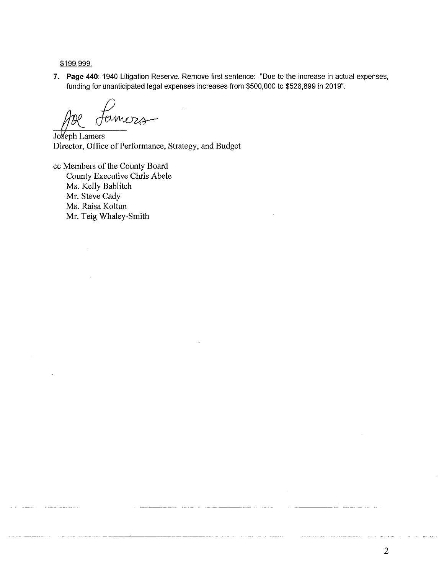\$199,999.

7. Page 440: 1940-Litigation Reserve. Remove first sentence: "Due to the increase in actual expenses, funding for unanticipated legal expenses increases from \$500,000 to \$526,899 in 2019".

Joseph Lamers Director, Office of Performance, Strategy, and Budget

cc Members of the County Board County Executive Chris Abele Ms. Kelly Bablitch Mr. Steve Cady Ms. Raisa Koltun Mr. Teig Whaley-Smith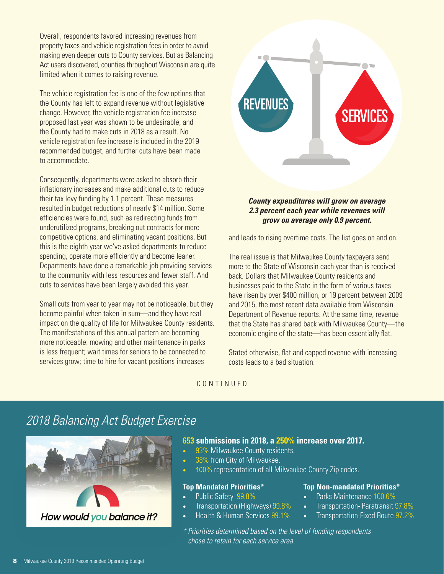Overall, respondents favored increasing revenues from property taxes and vehicle registration fees in order to avoid making even deeper cuts to County services. But as Balancing Act users discovered, counties throughout Wisconsin are quite limited when it comes to raising revenue.

The vehicle registration fee is one of the few options that the County has left to expand revenue without legislative change. However, the vehicle registration fee increase proposed last year was shown to be undesirable, and the County had to make cuts in 2018 as a result. No vehicle registration fee increase is included in the 2019 recommended budget, and further cuts have been made to accommodate.

Consequently, departments were asked to absorb their inflationary increases and make additional cuts to reduce their tax levy funding by 1.1 percent. These measures resulted in budget reductions of nearly \$14 million. Some efficiencies were found, such as redirecting funds from underutilized programs, breaking out contracts for more competitive options, and eliminating vacant positions. But this is the eighth year we've asked departments to reduce spending, operate more efficiently and become leaner. Departments have done a remarkable job providing services to the community with less resources and fewer staff. And cuts to services have been largely avoided this year.

Small cuts from year to year may not be noticeable, but they become painful when taken in sum—and they have real impact on the quality of life for Milwaukee County residents. The manifestations of this annual pattern are becoming more noticeable: mowing and other maintenance in parks is less frequent; wait times for seniors to be connected to services grow; time to hire for vacant positions increases



#### *County expenditures will grow on average 2.3 percent each year while revenues will grow on average only 0.9 percent.*

and leads to rising overtime costs. The list goes on and on.

The real issue is that Milwaukee County taxpayers send more to the State of Wisconsin each year than is received back. Dollars that Milwaukee County residents and businesses paid to the State in the form of various taxes have risen by over \$400 million, or 19 percent between 2009 and 2015, the most recent data available from Wisconsin Department of Revenue reports. At the same time, revenue that the State has shared back with Milwaukee County—the economic engine of the state—has been essentially flat.

Stated otherwise, flat and capped revenue with increasing costs leads to a bad situation.

CONTINUED

## *2018 Balancing Act Budget Exercise*



#### **653 submissions in 2018, a 250% increase over 2017.**

- 93% Milwaukee County residents.
- 38% from City of Milwaukee.
- 100% representation of all Milwaukee County Zip codes.

#### **Top Mandated Priorities\***

- Public Safety 99.8%
- Transportation (Highways) 99.8%
- Health & Human Services 99.1%

#### **Top Non-mandated Priorities\***

- Parks Maintenance 100.6%
- Transportation- Paratransit 97.8%
- Transportation-Fixed Route 97.2%
- *\* Priorities determined based on the level of funding respondents chose to retain for each service area.*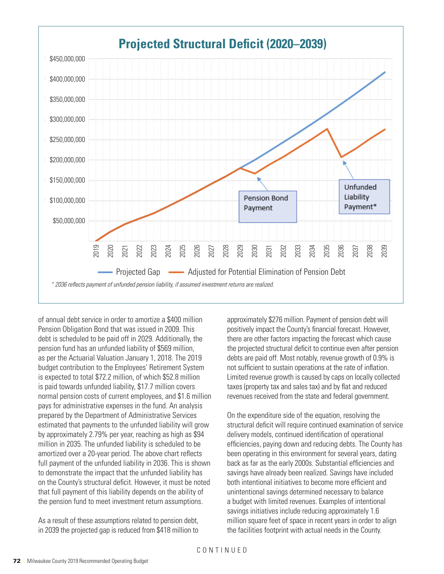

debt is scheduled to be paid off in 2029. Additionally, the there are other factors impacting the forec pension fund has an unfunded liability of \$569 million, but the projected structural deficit to cont as per the Actuarial Valuation January 1, 2018. The 2019 debts are paid off. Most notably, revenually budget continuation to the Employees Themellient System The Sumblem to sustain operations at the rate<br>is expected to total \$72.2 million, of which \$52.8 million Limited revenue growth is caused by caps on of annual debt service in order to amortize a \$400 million Pension Obligation Bond that was issued in 2009. This as per the Actuarian valuation January 1, 2016. The 2019 The UBDts are paid on: Most hotably, it<br>budget contribution to the Employees' Retirement System Thot sufficient to sustain operations is paid towards unfunded liability, \$17.7 million covers normal pension costs of current employees, and \$1.6 million pays for administrative expenses in the fund. An analysis prepared by the Department of Administrative Services estimated that payments to the unfunded liability will grow by approximately 2.79% per year, reaching as high as \$94 million in 2035. The unfunded liability is scheduled to be amortized over a 20-year period. The above chart reflects full payment of the unfunded liability in 2036. This is shown to demonstrate the impact that the unfunded liability has on the County's structural deficit. However, it must be noted that full payment of this liability depends on the ability of the pension fund to meet investment return assumptions.

As a result of these assumptions related to pension debt, in 2039 the projected gap is reduced from \$418 million to approximately \$276 million. Payment of pension debt will positively impact the County's financial forecast. However, there are other factors impacting the forecast which cause the projected structural deficit to continue even after pension debts are paid off. Most notably, revenue growth of 0.9% is not sufficient to sustain operations at the rate of inflation. Limited revenue growth is caused by caps on locally collected taxes (property tax and sales tax) and by flat and reduced revenues received from the state and federal government.

On the expenditure side of the equation, resolving the structural deficit will require continued examination of service delivery models, continued identification of operational efficiencies, paying down and reducing debts. The County has been operating in this environment for several years, dating back as far as the early 2000s. Substantial efficiencies and savings have already been realized. Savings have included both intentional initiatives to become more efficient and unintentional savings determined necessary to balance a budget with limited revenues. Examples of intentional savings initiatives include reducing approximately 1.6 million square feet of space in recent years in order to align the facilities footprint with actual needs in the County.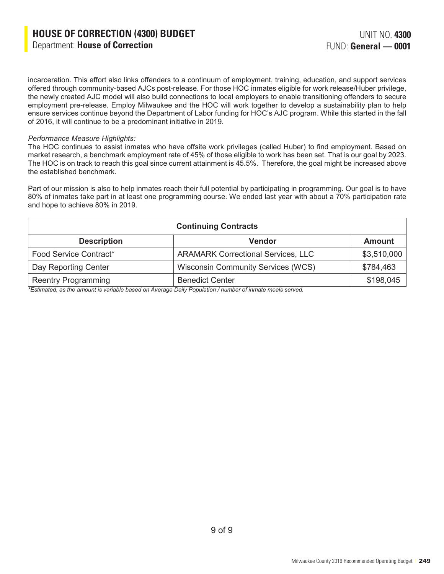incarceration. This effort also links offenders to a continuum of employment, training, education, and support services offered through community-based AJCs post-release. For those HOC inmates eligible for work release/Huber privilege, the newly created AJC model will also build connections to local employers to enable transitioning offenders to secure employment pre-release. Employ Milwaukee and the HOC will work together to develop a sustainability plan to help ensure services continue beyond the Department of Labor funding for HOC's AJC program. While this started in the fall of 2016, it will continue to be a predominant initiative in 2019.

#### *Performance Measure Highlights:*

The HOC continues to assist inmates who have offsite work privileges (called Huber) to find employment. Based on market research, a benchmark employment rate of 45% of those eligible to work has been set. That is our goal by 2023. The HOC is on track to reach this goal since current attainment is 45.5%. Therefore, the goal might be increased above the established benchmark.

Part of our mission is also to help inmates reach their full potential by participating in programming. Our goal is to have 80% of inmates take part in at least one programming course. We ended last year with about a 70% participation rate and hope to achieve 80% in 2019.

| <b>Continuing Contracts</b> |                                           |               |  |  |
|-----------------------------|-------------------------------------------|---------------|--|--|
| <b>Description</b>          | <b>Vendor</b>                             | <b>Amount</b> |  |  |
| Food Service Contract*      | <b>ARAMARK Correctional Services, LLC</b> | \$3,510,000   |  |  |
| Day Reporting Center        | <b>Wisconsin Community Services (WCS)</b> | \$784,463     |  |  |
| <b>Reentry Programming</b>  | <b>Benedict Center</b>                    | \$198,045     |  |  |

*\*Estimated, as the amount is variable based on Average Daily Population / number of inmate meals served.*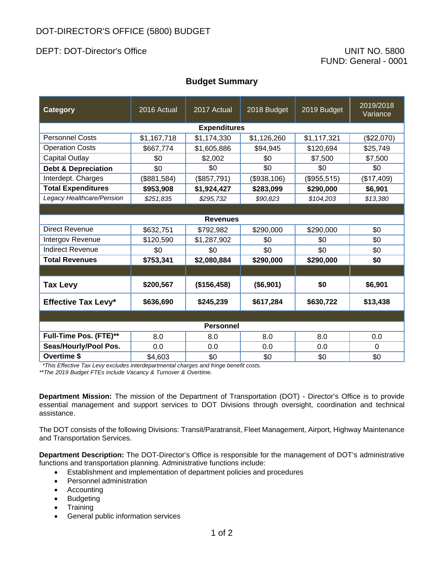## DEPT: DOT-Director's Office UNIT NO. 5800

## **Budget Summary**

| Category                       | 2016 Actual | 2017 Actual | 2018 Budget | 2019 Budget | 2019/2018<br>Variance |  |
|--------------------------------|-------------|-------------|-------------|-------------|-----------------------|--|
| <b>Expenditures</b>            |             |             |             |             |                       |  |
| <b>Personnel Costs</b>         | \$1,167,718 | \$1,174,330 | \$1,126,260 | \$1,117,321 | (\$22,070)            |  |
| <b>Operation Costs</b>         | \$667,774   | \$1,605,886 | \$94,945    | \$120,694   | \$25,749              |  |
| <b>Capital Outlay</b>          | \$0         | \$2,002     | \$0         | \$7,500     | \$7,500               |  |
| <b>Debt &amp; Depreciation</b> | \$0         | \$0         | \$0         | \$0         | \$0                   |  |
| Interdept. Charges             | (\$881,584) | (\$857,791) | (\$938,106) | (\$955,515) | (\$17,409)            |  |
| <b>Total Expenditures</b>      | \$953,908   | \$1,924,427 | \$283,099   | \$290,000   | \$6,901               |  |
| Legacy Healthcare/Pension      | \$251,835   | \$295,732   | \$90,823    | \$104,203   | \$13,380              |  |
|                                |             |             |             |             |                       |  |
| <b>Revenues</b>                |             |             |             |             |                       |  |
| <b>Direct Revenue</b>          | \$632,751   | \$792,982   | \$290,000   | \$290,000   | \$0                   |  |
| Intergov Revenue               | \$120,590   | \$1,287,902 | \$0         | \$0         | \$0                   |  |
| <b>Indirect Revenue</b>        | \$0         | \$0         | \$0         | \$0         | \$0                   |  |
| <b>Total Revenues</b>          | \$753,341   | \$2,080,884 | \$290,000   | \$290,000   | \$0                   |  |
|                                |             |             |             |             |                       |  |
| <b>Tax Levy</b>                | \$200,567   | (\$156,458) | (\$6,901)   | \$0         | \$6,901               |  |
| <b>Effective Tax Levy*</b>     | \$636,690   | \$245,239   | \$617,284   | \$630,722   | \$13,438              |  |
|                                |             |             |             |             |                       |  |
| <b>Personnel</b>               |             |             |             |             |                       |  |
| Full-Time Pos. (FTE)**         | 8.0         | 8.0         | 8.0         | 8.0         | 0.0                   |  |
| Seas/Hourly/Pool Pos.          | 0.0         | 0.0         | 0.0         | 0.0         | $\Omega$              |  |
| Overtime \$                    | \$4,603     | \$0         | \$0         | \$0         | \$0                   |  |

*\*This Effective Tax Levy excludes interdepartmental charges and fringe benefit costs.*

*\*\*The 2019 Budget FTEs include Vacancy & Turnover & Overtime.* 

**Department Mission:** The mission of the Department of Transportation (DOT) - Director's Office is to provide essential management and support services to DOT Divisions through oversight, coordination and technical assistance.

The DOT consists of the following Divisions: Transit/Paratransit, Fleet Management, Airport, Highway Maintenance and Transportation Services.

**Department Description:** The DOT-Director's Office is responsible for the management of DOT's administrative functions and transportation planning. Administrative functions include:

- Establishment and implementation of department policies and procedures
- Personnel administration
- Accounting
- Budgeting
- Training
- General public information services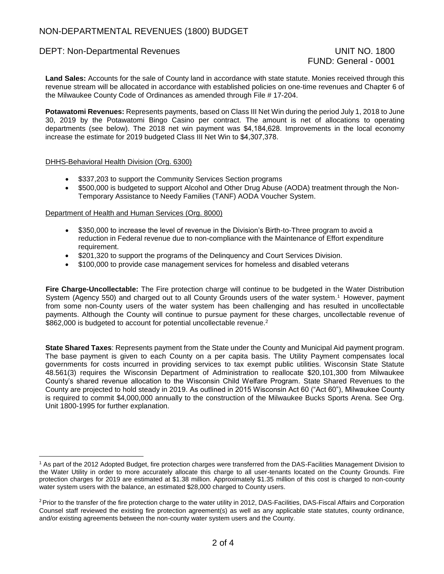## DEPT: Non-Departmental Revenues UNIT NO. 1800

# FUND: General - 0001

**Land Sales:** Accounts for the sale of County land in accordance with state statute. Monies received through this revenue stream will be allocated in accordance with established policies on one-time revenues and Chapter 6 of the Milwaukee County Code of Ordinances as amended through File # 17-204.

**Potawatomi Revenues:** Represents payments, based on Class III Net Win during the period July 1, 2018 to June 30, 2019 by the Potawatomi Bingo Casino per contract. The amount is net of allocations to operating departments (see below). The 2018 net win payment was \$4,184,628. Improvements in the local economy increase the estimate for 2019 budgeted Class III Net Win to \$4,307,378.

#### DHHS-Behavioral Health Division (Org. 6300)

- \$337,203 to support the Community Services Section programs
- \$500,000 is budgeted to support Alcohol and Other Drug Abuse (AODA) treatment through the Non-Temporary Assistance to Needy Families (TANF) AODA Voucher System.

#### Department of Health and Human Services (Org. 8000)

- \$350,000 to increase the level of revenue in the Division's Birth-to-Three program to avoid a reduction in Federal revenue due to non-compliance with the Maintenance of Effort expenditure requirement.
- \$201,320 to support the programs of the Delinguency and Court Services Division.
- \$100,000 to provide case management services for homeless and disabled veterans

**Fire Charge-Uncollectable:** The Fire protection charge will continue to be budgeted in the Water Distribution System (Agency 550) and charged out to all County Grounds users of the water system.<sup>1</sup> However, payment from some non-County users of the water system has been challenging and has resulted in uncollectable payments. Although the County will continue to pursue payment for these charges, uncollectable revenue of \$862,000 is budgeted to account for potential uncollectable revenue.<sup>2</sup>

**State Shared Taxes**: Represents payment from the State under the County and Municipal Aid payment program. The base payment is given to each County on a per capita basis. The Utility Payment compensates local governments for costs incurred in providing services to tax exempt public utilities. Wisconsin State Statute 48.561(3) requires the Wisconsin Department of Administration to reallocate \$20,101,300 from Milwaukee County's shared revenue allocation to the Wisconsin Child Welfare Program. State Shared Revenues to the County are projected to hold steady in 2019. As outlined in 2015 Wisconsin Act 60 ("Act 60"), Milwaukee County is required to commit \$4,000,000 annually to the construction of the Milwaukee Bucks Sports Arena. See Org. Unit 1800-1995 for further explanation.

<sup>1</sup> As part of the 2012 Adopted Budget, fire protection charges were transferred from the DAS-Facilities Management Division to the Water Utility in order to more accurately allocate this charge to all user-tenants located on the County Grounds. Fire protection charges for 2019 are estimated at \$1.38 million. Approximately \$1.35 million of this cost is charged to non-county water system users with the balance, an estimated \$28,000 charged to County users.

<sup>&</sup>lt;sup>2</sup> Prior to the transfer of the fire protection charge to the water utility in 2012, DAS-Facilities, DAS-Fiscal Affairs and Corporation Counsel staff reviewed the existing fire protection agreement(s) as well as any applicable state statutes, county ordinance, and/or existing agreements between the non-county water system users and the County.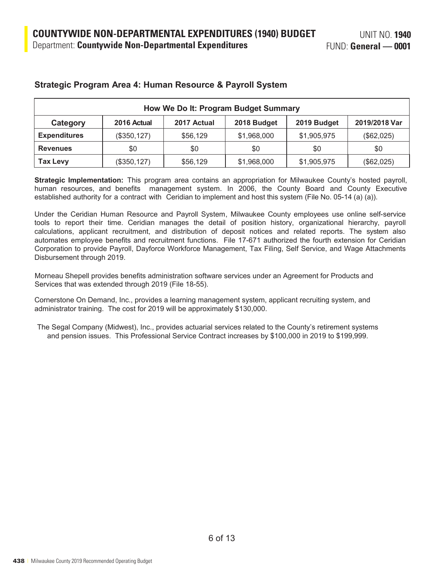| How We Do It: Program Budget Summary |              |             |             |             |               |
|--------------------------------------|--------------|-------------|-------------|-------------|---------------|
| Category                             | 2016 Actual  | 2017 Actual | 2018 Budget | 2019 Budget | 2019/2018 Var |
| <b>Expenditures</b>                  | (\$350, 127) | \$56,129    | \$1,968,000 | \$1,905,975 | (\$62,025)    |
| <b>Revenues</b>                      | \$0          | \$0         | \$0         | \$0         | \$0           |
| <b>Tax Levy</b>                      | (\$350,127)  | \$56,129    | \$1,968,000 | \$1,905,975 | (\$62,025)    |

### **Strategic Program Area 4: Human Resource & Payroll System**

**Strategic Implementation:** This program area contains an appropriation for Milwaukee County's hosted payroll, human resources, and benefits management system. In 2006, the County Board and County Executive established authority for a contract with Ceridian to implement and host this system (File No. 05-14 (a) (a)).

Under the Ceridian Human Resource and Payroll System, Milwaukee County employees use online self-service tools to report their time. Ceridian manages the detail of position history, organizational hierarchy, payroll calculations, applicant recruitment, and distribution of deposit notices and related reports. The system also automates employee benefits and recruitment functions. File 17-671 authorized the fourth extension for Ceridian Corporation to provide Payroll, Dayforce Workforce Management, Tax Filing, Self Service, and Wage Attachments Disbursement through 2019.

Morneau Shepell provides benefits administration software services under an Agreement for Products and Services that was extended through 2019 (File 18-55).

Cornerstone On Demand, Inc., provides a learning management system, applicant recruiting system, and administrator training. The cost for 2019 will be approximately \$130,000.

The Segal Company (Midwest), Inc., provides actuarial services related to the County's retirement systems and pension issues. This Professional Service Contract increases by \$100,000 in 2019 to \$199,999.